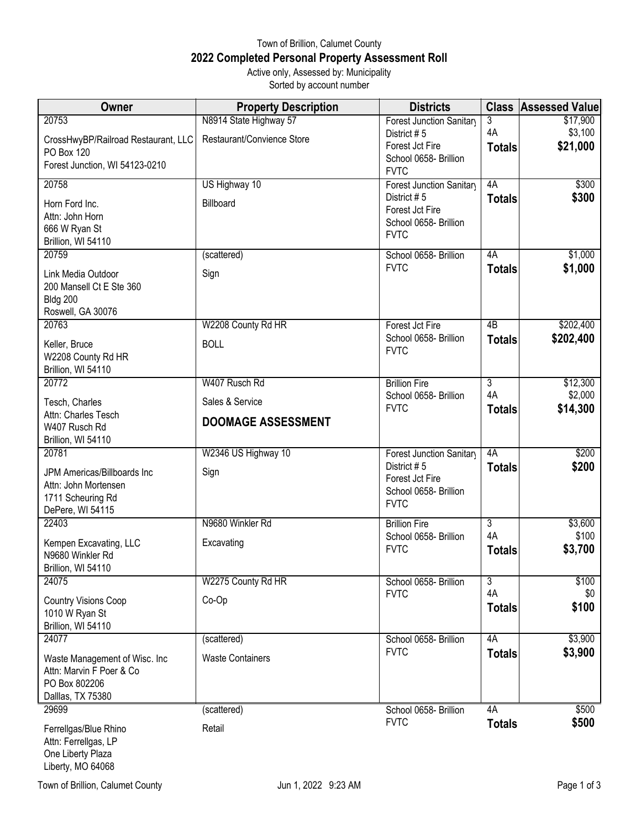## Town of Brillion, Calumet County **2022 Completed Personal Property Assessment Roll** Active only, Assessed by: Municipality

Sorted by account number

| Owner                                               | <b>Property Description</b> | <b>Districts</b>                     |                     | <b>Class Assessed Value</b> |
|-----------------------------------------------------|-----------------------------|--------------------------------------|---------------------|-----------------------------|
| 20753                                               | N8914 State Highway 57      | Forest Junction Sanitary             | 3                   | \$17,900                    |
| CrossHwyBP/Railroad Restaurant, LLC                 | Restaurant/Convience Store  | District #5<br>Forest Jct Fire       | 4A<br><b>Totals</b> | \$3,100<br>\$21,000         |
| PO Box 120                                          |                             | School 0658- Brillion                |                     |                             |
| Forest Junction, WI 54123-0210                      |                             | <b>FVTC</b>                          |                     |                             |
| 20758                                               | US Highway 10               | Forest Junction Sanitary             | 4A                  | \$300                       |
| Horn Ford Inc.                                      | Billboard                   | District #5<br>Forest Jct Fire       | <b>Totals</b>       | \$300                       |
| Attn: John Horn                                     |                             | School 0658- Brillion                |                     |                             |
| 666 W Ryan St<br>Brillion, WI 54110                 |                             | <b>FVTC</b>                          |                     |                             |
| 20759                                               | (scattered)                 | School 0658- Brillion                | 4A                  | \$1,000                     |
| Link Media Outdoor                                  | Sign                        | <b>FVTC</b>                          | <b>Totals</b>       | \$1,000                     |
| 200 Mansell Ct E Ste 360                            |                             |                                      |                     |                             |
| <b>Bldg 200</b>                                     |                             |                                      |                     |                             |
| Roswell, GA 30076<br>20763                          | W2208 County Rd HR          | Forest Jct Fire                      | 4B                  | \$202,400                   |
|                                                     |                             | School 0658- Brillion                | <b>Totals</b>       | \$202,400                   |
| Keller, Bruce<br>W2208 County Rd HR                 | <b>BOLL</b>                 | <b>FVTC</b>                          |                     |                             |
| Brillion, WI 54110                                  |                             |                                      |                     |                             |
| 20772                                               | W407 Rusch Rd               | <b>Brillion Fire</b>                 | $\overline{3}$      | \$12,300                    |
| Tesch, Charles                                      | Sales & Service             | School 0658- Brillion                | 4A                  | \$2,000                     |
| Attn: Charles Tesch                                 | <b>DOOMAGE ASSESSMENT</b>   | <b>FVTC</b>                          | <b>Totals</b>       | \$14,300                    |
| W407 Rusch Rd                                       |                             |                                      |                     |                             |
| Brillion, WI 54110<br>20781                         | W2346 US Highway 10         | Forest Junction Sanitary             | 4A                  | \$200                       |
|                                                     |                             | District #5                          | <b>Totals</b>       | \$200                       |
| JPM Americas/Billboards Inc<br>Attn: John Mortensen | Sign                        | Forest Jct Fire                      |                     |                             |
| 1711 Scheuring Rd                                   |                             | School 0658- Brillion                |                     |                             |
| DePere, WI 54115                                    |                             | <b>FVTC</b>                          |                     |                             |
| 22403                                               | N9680 Winkler Rd            | <b>Brillion Fire</b>                 | 3<br>4A             | \$3,600<br>\$100            |
| Kempen Excavating, LLC                              | Excavating                  | School 0658- Brillion<br><b>FVTC</b> | <b>Totals</b>       | \$3,700                     |
| N9680 Winkler Rd<br>Brillion, WI 54110              |                             |                                      |                     |                             |
| 24075                                               | W2275 County Rd HR          | School 0658- Brillion                | 3                   | \$100                       |
| <b>Country Visions Coop</b>                         | Co-Op                       | <b>FVTC</b>                          | 4A                  | \$0                         |
| 1010 W Ryan St                                      |                             |                                      | <b>Totals</b>       | \$100                       |
| Brillion, WI 54110                                  |                             |                                      |                     |                             |
| 24077                                               | (scattered)                 | School 0658- Brillion                | 4A                  | \$3,900                     |
| Waste Management of Wisc. Inc                       | <b>Waste Containers</b>     | <b>FVTC</b>                          | <b>Totals</b>       | \$3,900                     |
| Attn: Marvin F Poer & Co                            |                             |                                      |                     |                             |
| PO Box 802206<br>Dalllas, TX 75380                  |                             |                                      |                     |                             |
| 29699                                               | (scattered)                 | School 0658- Brillion                | 4A                  | \$500                       |
| Ferrellgas/Blue Rhino                               | Retail                      | <b>FVTC</b>                          | <b>Totals</b>       | \$500                       |
| Attn: Ferrellgas, LP                                |                             |                                      |                     |                             |
| One Liberty Plaza                                   |                             |                                      |                     |                             |

Town of Brillion, Calumet County **State 1 and State 1 and State 3** Jun 1, 2022 9:23 AM Page 1 of 3

Liberty, MO 64068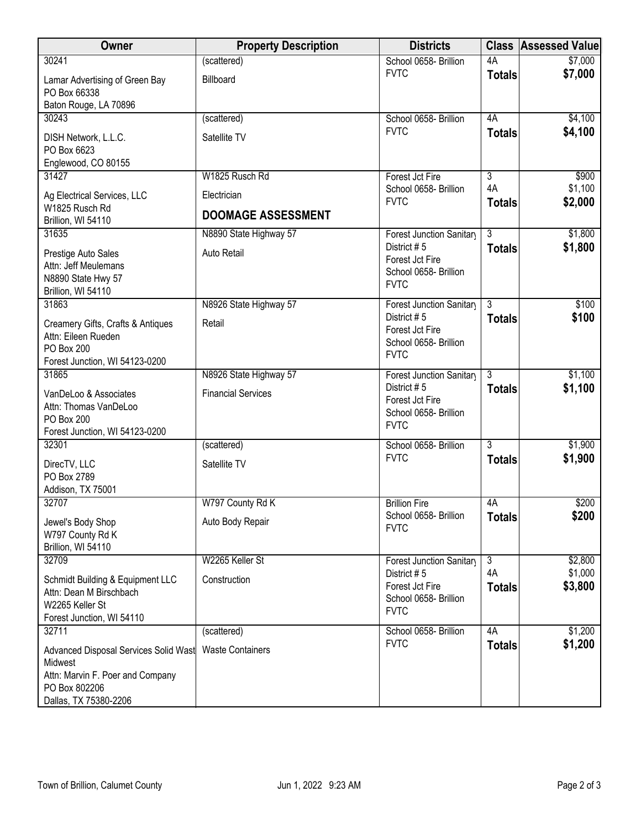| Owner                                                                                                                          | <b>Property Description</b> | <b>Districts</b>                                                       | <b>Class</b>        | <b>Assessed Value</b> |
|--------------------------------------------------------------------------------------------------------------------------------|-----------------------------|------------------------------------------------------------------------|---------------------|-----------------------|
| 30241                                                                                                                          | (scattered)                 | School 0658- Brillion                                                  | 4A                  | \$7,000               |
| Lamar Advertising of Green Bay<br>PO Box 66338                                                                                 | Billboard                   | <b>FVTC</b>                                                            | <b>Totals</b>       | \$7,000               |
| Baton Rouge, LA 70896                                                                                                          |                             |                                                                        |                     |                       |
| 30243                                                                                                                          | (scattered)                 | School 0658- Brillion                                                  | 4A                  | \$4,100               |
| DISH Network, L.L.C.<br>PO Box 6623<br>Englewood, CO 80155                                                                     | Satellite TV                | <b>FVTC</b>                                                            | <b>Totals</b>       | \$4,100               |
| 31427                                                                                                                          | W1825 Rusch Rd              | Forest Jct Fire                                                        | $\overline{3}$      | \$900                 |
|                                                                                                                                | Electrician                 | School 0658- Brillion                                                  | 4A                  | \$1,100               |
| Ag Electrical Services, LLC<br>W1825 Rusch Rd<br>Brillion, WI 54110                                                            | <b>DOOMAGE ASSESSMENT</b>   | <b>FVTC</b>                                                            | <b>Totals</b>       | \$2,000               |
| 31635                                                                                                                          | N8890 State Highway 57      | Forest Junction Sanitary                                               | $\overline{3}$      | \$1,800               |
| Prestige Auto Sales<br>Attn: Jeff Meulemans<br>N8890 State Hwy 57<br>Brillion, WI 54110                                        | Auto Retail                 | District #5<br>Forest Jct Fire<br>School 0658- Brillion<br><b>FVTC</b> | <b>Totals</b>       | \$1,800               |
| 31863                                                                                                                          | N8926 State Highway 57      | Forest Junction Sanitary                                               | $\overline{3}$      | \$100                 |
| Creamery Gifts, Crafts & Antiques<br>Attn: Eileen Rueden<br><b>PO Box 200</b><br>Forest Junction, WI 54123-0200                | Retail                      | District #5<br>Forest Jct Fire<br>School 0658- Brillion<br><b>FVTC</b> | <b>Totals</b>       | \$100                 |
| 31865                                                                                                                          | N8926 State Highway 57      | Forest Junction Sanitary                                               | 3                   | \$1,100               |
| VanDeLoo & Associates<br>Attn: Thomas VanDeLoo<br>PO Box 200<br>Forest Junction, WI 54123-0200                                 | <b>Financial Services</b>   | District #5<br>Forest Jct Fire<br>School 0658- Brillion<br><b>FVTC</b> | <b>Totals</b>       | \$1,100               |
| 32301                                                                                                                          | (scattered)                 | School 0658- Brillion                                                  | $\overline{3}$      | \$1,900               |
| DirecTV, LLC<br>PO Box 2789<br>Addison, TX 75001                                                                               | Satellite TV                | <b>FVTC</b>                                                            | <b>Totals</b>       | \$1,900               |
| 32707                                                                                                                          | W797 County Rd K            | <b>Brillion Fire</b>                                                   | 4A                  | \$200                 |
| Jewel's Body Shop<br>W797 County Rd K<br>Brillion, WI 54110                                                                    | Auto Body Repair            | School 0658- Brillion<br><b>FVTC</b>                                   | <b>Totals</b>       | \$200                 |
| 32709                                                                                                                          | W2265 Keller St             | Forest Junction Sanitary                                               | 3                   | \$2,800               |
| Schmidt Building & Equipment LLC<br>Attn: Dean M Birschbach<br>W2265 Keller St<br>Forest Junction, WI 54110                    | Construction                | District #5<br>Forest Jct Fire<br>School 0658- Brillion<br><b>FVTC</b> | 4A<br><b>Totals</b> | \$1,000<br>\$3,800    |
| 32711                                                                                                                          | (scattered)                 | School 0658- Brillion                                                  | 4A                  | \$1,200               |
| Advanced Disposal Services Solid Wast<br>Midwest<br>Attn: Marvin F. Poer and Company<br>PO Box 802206<br>Dallas, TX 75380-2206 | <b>Waste Containers</b>     | <b>FVTC</b>                                                            | <b>Totals</b>       | \$1,200               |